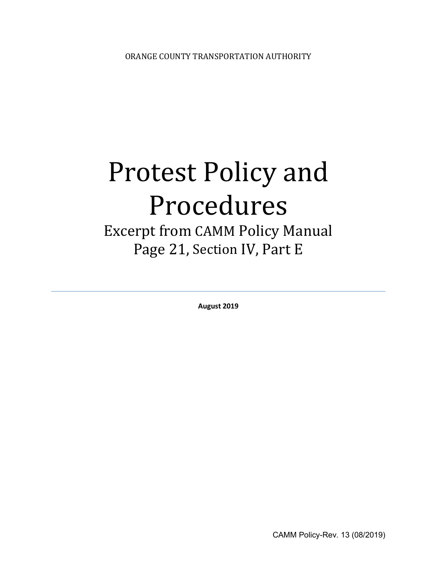# Protest Policy and Procedures

# Excerpt from CAMM Policy Manual Page 21, Section IV, Part E

**August 2019**

CAMM Policy-Rev. 13 (08/2019)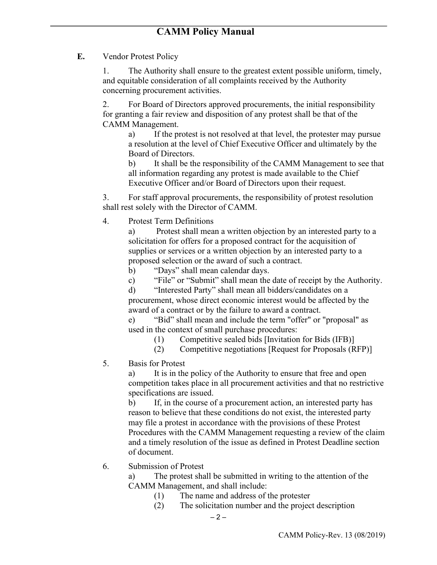**E.** Vendor Protest Policy

1. The Authority shall ensure to the greatest extent possible uniform, timely, and equitable consideration of all complaints received by the Authority concerning procurement activities.

2. For Board of Directors approved procurements, the initial responsibility for granting a fair review and disposition of any protest shall be that of the CAMM Management.

a) If the protest is not resolved at that level, the protester may pursue a resolution at the level of Chief Executive Officer and ultimately by the Board of Directors.

b) It shall be the responsibility of the CAMM Management to see that all information regarding any protest is made available to the Chief Executive Officer and/or Board of Directors upon their request.

3. For staff approval procurements, the responsibility of protest resolution shall rest solely with the Director of CAMM.

4. Protest Term Definitions

a) Protest shall mean a written objection by an interested party to a solicitation for offers for a proposed contract for the acquisition of supplies or services or a written objection by an interested party to a proposed selection or the award of such a contract.

b) "Days" shall mean calendar days.

c) "File" or "Submit" shall mean the date of receipt by the Authority.

d) "Interested Party" shall mean all bidders/candidates on a procurement, whose direct economic interest would be affected by the award of a contract or by the failure to award a contract.

e) "Bid" shall mean and include the term "offer" or "proposal" as used in the context of small purchase procedures:

(1) Competitive sealed bids [Invitation for Bids (IFB)]

- (2) Competitive negotiations [Request for Proposals (RFP)]
- 5. Basis for Protest

a) It is in the policy of the Authority to ensure that free and open competition takes place in all procurement activities and that no restrictive specifications are issued.

b) If, in the course of a procurement action, an interested party has reason to believe that these conditions do not exist, the interested party may file a protest in accordance with the provisions of these Protest Procedures with the CAMM Management requesting a review of the claim and a timely resolution of the issue as defined in Protest Deadline section of document.

#### 6. Submission of Protest

a) The protest shall be submitted in writing to the attention of the CAMM Management, and shall include:

- (1) The name and address of the protester
- (2) The solicitation number and the project description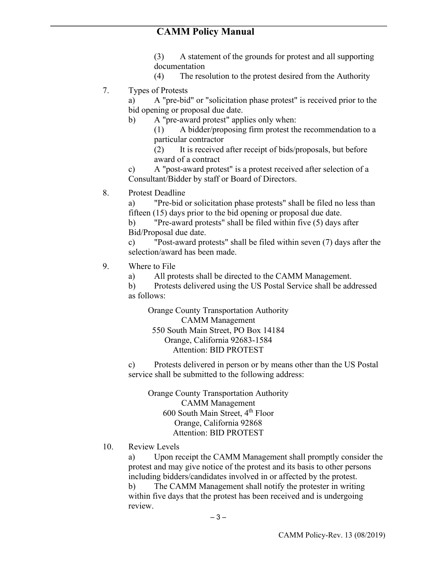### **CAMM Policy Manual**

(3) A statement of the grounds for protest and all supporting documentation

- (4) The resolution to the protest desired from the Authority
- 7. Types of Protests

a) A "pre-bid" or "solicitation phase protest" is received prior to the bid opening or proposal due date.

b) A "pre-award protest" applies only when:

(1) A bidder/proposing firm protest the recommendation to a particular contractor

(2) It is received after receipt of bids/proposals, but before award of a contract

c) A "post-award protest" is a protest received after selection of a Consultant/Bidder by staff or Board of Directors.

8. Protest Deadline

a) "Pre-bid or solicitation phase protests" shall be filed no less than fifteen (15) days prior to the bid opening or proposal due date.

b) "Pre-award protests" shall be filed within five (5) days after Bid/Proposal due date.

c) "Post-award protests" shall be filed within seven (7) days after the selection/award has been made.

- 9. Where to File
	- a) All protests shall be directed to the CAMM Management.

b) Protests delivered using the US Postal Service shall be addressed as follows:

Orange County Transportation Authority CAMM Management 550 South Main Street, PO Box 14184 Orange, California 92683-1584 Attention: BID PROTEST

c) Protests delivered in person or by means other than the US Postal service shall be submitted to the following address:

Orange County Transportation Authority CAMM Management  $600$  South Main Street,  $4<sup>th</sup>$  Floor Orange, California 92868 Attention: BID PROTEST

10. Review Levels

a) Upon receipt the CAMM Management shall promptly consider the protest and may give notice of the protest and its basis to other persons including bidders/candidates involved in or affected by the protest.

b) The CAMM Management shall notify the protester in writing within five days that the protest has been received and is undergoing review.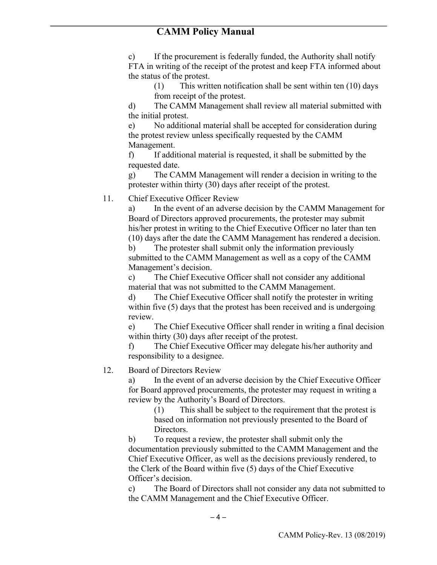c) If the procurement is federally funded, the Authority shall notify FTA in writing of the receipt of the protest and keep FTA informed about the status of the protest.

(1) This written notification shall be sent within ten (10) days from receipt of the protest.

d) The CAMM Management shall review all material submitted with the initial protest.

e) No additional material shall be accepted for consideration during the protest review unless specifically requested by the CAMM Management.

f) If additional material is requested, it shall be submitted by the requested date.

g) The CAMM Management will render a decision in writing to the protester within thirty (30) days after receipt of the protest.

11. Chief Executive Officer Review

a) In the event of an adverse decision by the CAMM Management for Board of Directors approved procurements, the protester may submit his/her protest in writing to the Chief Executive Officer no later than ten (10) days after the date the CAMM Management has rendered a decision.

b) The protester shall submit only the information previously submitted to the CAMM Management as well as a copy of the CAMM Management's decision.

c) The Chief Executive Officer shall not consider any additional material that was not submitted to the CAMM Management.

d) The Chief Executive Officer shall notify the protester in writing within five (5) days that the protest has been received and is undergoing review.

e) The Chief Executive Officer shall render in writing a final decision within thirty (30) days after receipt of the protest.

f) The Chief Executive Officer may delegate his/her authority and responsibility to a designee.

12. Board of Directors Review

a) In the event of an adverse decision by the Chief Executive Officer for Board approved procurements, the protester may request in writing a review by the Authority's Board of Directors.

(1) This shall be subject to the requirement that the protest is based on information not previously presented to the Board of Directors.

b) To request a review, the protester shall submit only the documentation previously submitted to the CAMM Management and the Chief Executive Officer, as well as the decisions previously rendered, to the Clerk of the Board within five (5) days of the Chief Executive Officer's decision.

c) The Board of Directors shall not consider any data not submitted to the CAMM Management and the Chief Executive Officer.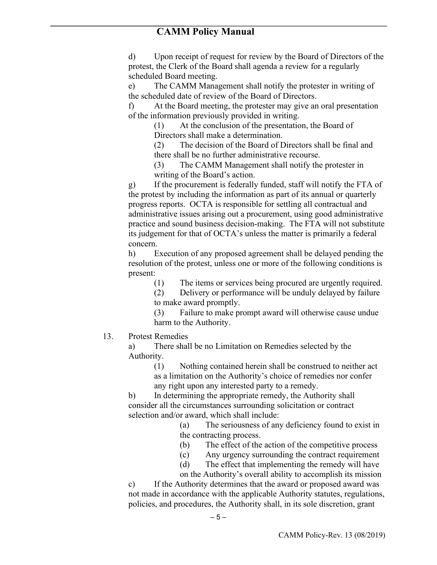d) Upon receipt of request for review by the Board of Directors of the protest, the Clerk of the Board shall agenda a review for a regularly scheduled Board meeting.

e) The CAMM Management shall notify the protester in writing of the scheduled date of review of the Board of Directors.

f) At the Board meeting, the protester may give an oral presentation of the information previously provided in writing.

(1) At the conclusion of the presentation, the Board of Directors shall make a determination.

(2) The decision of the Board of Directors shall be final and there shall be no further administrative recourse.

(3) The CAMM Management shall notify the protester in writing of the Board's action.

g) If the procurement is federally funded, staff will notify the FTA of the protest by including the information as part of its annual or quarterly progress reports. OCTA is responsible for settling all contractual and administrative issues arising out a procurement, using good administrative practice and sound business decision-making. The FTA will not substitute its judgement for that of OCTA's unless the matter is primarily a federal concern.

h) Execution of any proposed agreement shall be delayed pending the resolution of the protest, unless one or more of the following conditions is present:

(1) The items or services being procured are urgently required.

(2) Delivery or performance will be unduly delayed by failure to make award promptly.

(3) Failure to make prompt award will otherwise cause undue harm to the Authority.

#### 13. Protest Remedies

a) There shall be no Limitation on Remedies selected by the Authority.

(1) Nothing contained herein shall be construed to neither act as a limitation on the Authority's choice of remedies nor confer any right upon any interested party to a remedy.

b) In determining the appropriate remedy, the Authority shall consider all the circumstances surrounding solicitation or contract selection and/or award, which shall include:

> (a) The seriousness of any deficiency found to exist in the contracting process.

> (b) The effect of the action of the competitive process

(c) Any urgency surrounding the contract requirement

(d) The effect that implementing the remedy will have

on the Authority's overall ability to accomplish its mission c) If the Authority determines that the award or proposed award was not made in accordance with the applicable Authority statutes, regulations, policies, and procedures, the Authority shall, in its sole discretion, grant